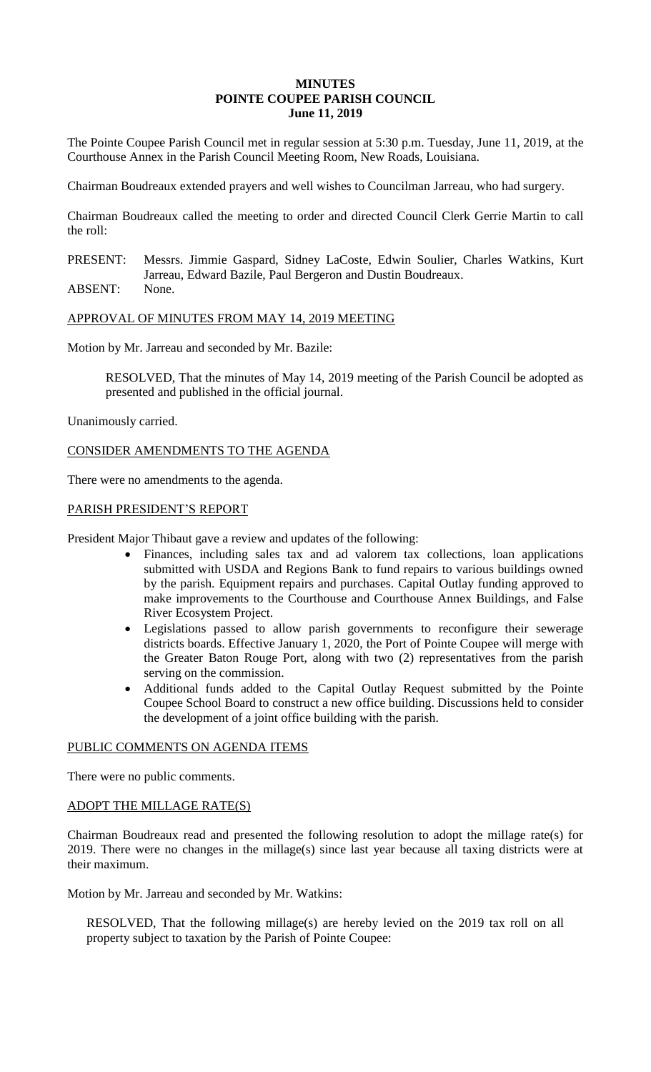## **MINUTES POINTE COUPEE PARISH COUNCIL June 11, 2019**

The Pointe Coupee Parish Council met in regular session at 5:30 p.m. Tuesday, June 11, 2019, at the Courthouse Annex in the Parish Council Meeting Room, New Roads, Louisiana.

Chairman Boudreaux extended prayers and well wishes to Councilman Jarreau, who had surgery.

Chairman Boudreaux called the meeting to order and directed Council Clerk Gerrie Martin to call the roll:

PRESENT: Messrs. Jimmie Gaspard, Sidney LaCoste, Edwin Soulier, Charles Watkins, Kurt Jarreau, Edward Bazile, Paul Bergeron and Dustin Boudreaux.

ABSENT: None.

# APPROVAL OF MINUTES FROM MAY 14, 2019 MEETING

Motion by Mr. Jarreau and seconded by Mr. Bazile:

RESOLVED, That the minutes of May 14, 2019 meeting of the Parish Council be adopted as presented and published in the official journal.

Unanimously carried.

CONSIDER AMENDMENTS TO THE AGENDA

There were no amendments to the agenda.

# PARISH PRESIDENT'S REPORT

President Major Thibaut gave a review and updates of the following:

- Finances, including sales tax and ad valorem tax collections, loan applications submitted with USDA and Regions Bank to fund repairs to various buildings owned by the parish. Equipment repairs and purchases. Capital Outlay funding approved to make improvements to the Courthouse and Courthouse Annex Buildings, and False River Ecosystem Project.
- Legislations passed to allow parish governments to reconfigure their sewerage districts boards. Effective January 1, 2020, the Port of Pointe Coupee will merge with the Greater Baton Rouge Port, along with two (2) representatives from the parish serving on the commission.
- Additional funds added to the Capital Outlay Request submitted by the Pointe Coupee School Board to construct a new office building. Discussions held to consider the development of a joint office building with the parish.

# PUBLIC COMMENTS ON AGENDA ITEMS

There were no public comments.

# ADOPT THE MILLAGE RATE(S)

Chairman Boudreaux read and presented the following resolution to adopt the millage rate(s) for 2019. There were no changes in the millage(s) since last year because all taxing districts were at their maximum.

Motion by Mr. Jarreau and seconded by Mr. Watkins:

RESOLVED, That the following millage(s) are hereby levied on the 2019 tax roll on all property subject to taxation by the Parish of Pointe Coupee: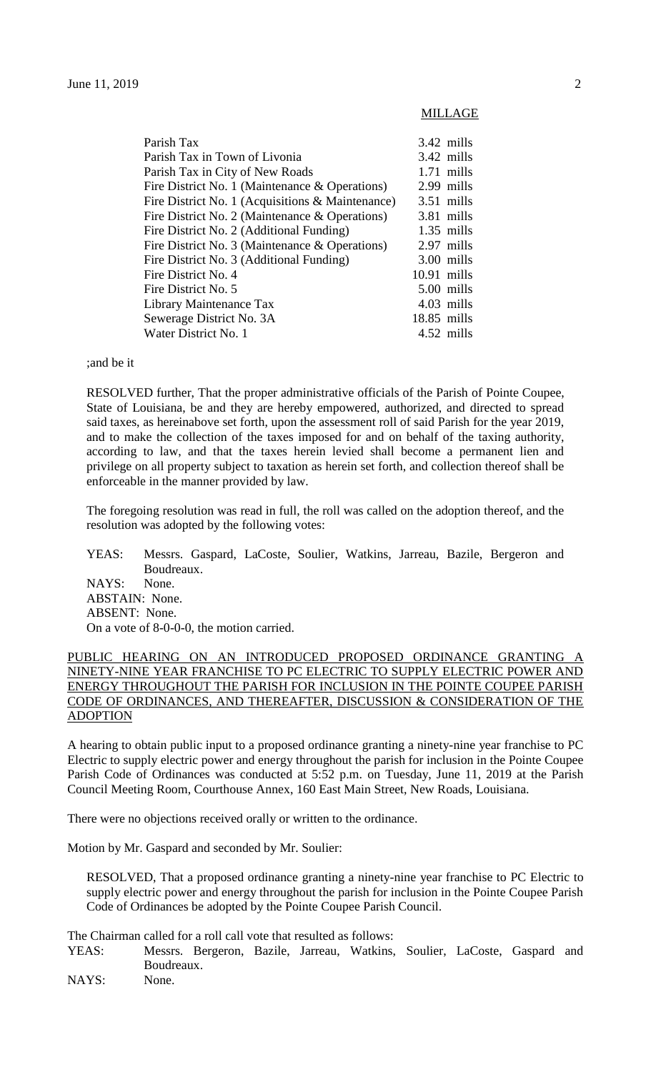| Parish Tax                                        |               | $3.42$ mills |
|---------------------------------------------------|---------------|--------------|
| Parish Tax in Town of Livonia                     |               | $3.42$ mills |
| Parish Tax in City of New Roads                   |               | $1.71$ mills |
| Fire District No. 1 (Maintenance $\&$ Operations) |               | 2.99 mills   |
| Fire District No. 1 (Acquisitions & Maintenance)  |               | $3.51$ mills |
| Fire District No. 2 (Maintenance $\&$ Operations) |               | 3.81 mills   |
| Fire District No. 2 (Additional Funding)          |               | $1.35$ mills |
| Fire District No. 3 (Maintenance & Operations)    |               | 2.97 mills   |
| Fire District No. 3 (Additional Funding)          |               | 3.00 mills   |
| Fire District No. 4                               | $10.91$ mills |              |
| Fire District No. 5                               |               | 5.00 mills   |
| Library Maintenance Tax                           |               | $4.03$ mills |
| Sewerage District No. 3A                          | $18.85$ mills |              |
| Water District No. 1                              |               | 4.52 mills   |
|                                                   |               |              |

;and be it

RESOLVED further, That the proper administrative officials of the Parish of Pointe Coupee, State of Louisiana, be and they are hereby empowered, authorized, and directed to spread said taxes, as hereinabove set forth, upon the assessment roll of said Parish for the year 2019, and to make the collection of the taxes imposed for and on behalf of the taxing authority, according to law, and that the taxes herein levied shall become a permanent lien and privilege on all property subject to taxation as herein set forth, and collection thereof shall be enforceable in the manner provided by law.

The foregoing resolution was read in full, the roll was called on the adoption thereof, and the resolution was adopted by the following votes:

YEAS: Messrs. Gaspard, LaCoste, Soulier, Watkins, Jarreau, Bazile, Bergeron and Boudreaux. NAYS: None. ABSTAIN: None. ABSENT: None. On a vote of 8-0-0-0, the motion carried.

## PUBLIC HEARING ON AN INTRODUCED PROPOSED ORDINANCE GRANTING A NINETY-NINE YEAR FRANCHISE TO PC ELECTRIC TO SUPPLY ELECTRIC POWER AND ENERGY THROUGHOUT THE PARISH FOR INCLUSION IN THE POINTE COUPEE PARISH CODE OF ORDINANCES, AND THEREAFTER, DISCUSSION & CONSIDERATION OF THE ADOPTION

A hearing to obtain public input to a proposed ordinance granting a ninety-nine year franchise to PC Electric to supply electric power and energy throughout the parish for inclusion in the Pointe Coupee Parish Code of Ordinances was conducted at 5:52 p.m. on Tuesday, June 11, 2019 at the Parish Council Meeting Room, Courthouse Annex, 160 East Main Street, New Roads, Louisiana.

There were no objections received orally or written to the ordinance.

Motion by Mr. Gaspard and seconded by Mr. Soulier:

RESOLVED, That a proposed ordinance granting a ninety-nine year franchise to PC Electric to supply electric power and energy throughout the parish for inclusion in the Pointe Coupee Parish Code of Ordinances be adopted by the Pointe Coupee Parish Council.

The Chairman called for a roll call vote that resulted as follows:

YEAS: Messrs. Bergeron, Bazile, Jarreau, Watkins, Soulier, LaCoste, Gaspard and Boudreaux.

NAYS: None.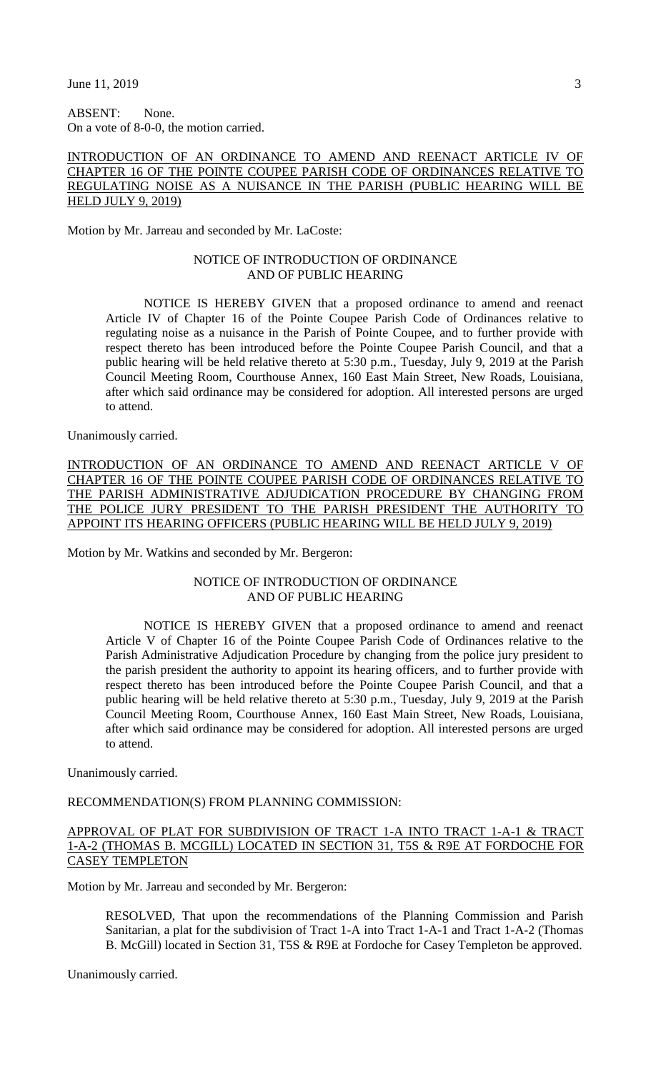ABSENT: None. On a vote of 8-0-0, the motion carried.

# INTRODUCTION OF AN ORDINANCE TO AMEND AND REENACT ARTICLE IV OF CHAPTER 16 OF THE POINTE COUPEE PARISH CODE OF ORDINANCES RELATIVE TO REGULATING NOISE AS A NUISANCE IN THE PARISH (PUBLIC HEARING WILL BE HELD JULY 9, 2019)

Motion by Mr. Jarreau and seconded by Mr. LaCoste:

## NOTICE OF INTRODUCTION OF ORDINANCE AND OF PUBLIC HEARING

NOTICE IS HEREBY GIVEN that a proposed ordinance to amend and reenact Article IV of Chapter 16 of the Pointe Coupee Parish Code of Ordinances relative to regulating noise as a nuisance in the Parish of Pointe Coupee, and to further provide with respect thereto has been introduced before the Pointe Coupee Parish Council, and that a public hearing will be held relative thereto at 5:30 p.m., Tuesday, July 9, 2019 at the Parish Council Meeting Room, Courthouse Annex, 160 East Main Street, New Roads, Louisiana, after which said ordinance may be considered for adoption. All interested persons are urged to attend.

Unanimously carried.

INTRODUCTION OF AN ORDINANCE TO AMEND AND REENACT ARTICLE V OF CHAPTER 16 OF THE POINTE COUPEE PARISH CODE OF ORDINANCES RELATIVE TO THE PARISH ADMINISTRATIVE ADJUDICATION PROCEDURE BY CHANGING FROM THE POLICE JURY PRESIDENT TO THE PARISH PRESIDENT THE AUTHORITY TO APPOINT ITS HEARING OFFICERS (PUBLIC HEARING WILL BE HELD JULY 9, 2019)

Motion by Mr. Watkins and seconded by Mr. Bergeron:

## NOTICE OF INTRODUCTION OF ORDINANCE AND OF PUBLIC HEARING

NOTICE IS HEREBY GIVEN that a proposed ordinance to amend and reenact Article V of Chapter 16 of the Pointe Coupee Parish Code of Ordinances relative to the Parish Administrative Adjudication Procedure by changing from the police jury president to the parish president the authority to appoint its hearing officers, and to further provide with respect thereto has been introduced before the Pointe Coupee Parish Council, and that a public hearing will be held relative thereto at 5:30 p.m., Tuesday, July 9, 2019 at the Parish Council Meeting Room, Courthouse Annex, 160 East Main Street, New Roads, Louisiana, after which said ordinance may be considered for adoption. All interested persons are urged to attend.

Unanimously carried.

RECOMMENDATION(S) FROM PLANNING COMMISSION:

#### APPROVAL OF PLAT FOR SUBDIVISION OF TRACT 1-A INTO TRACT 1-A-1 & TRACT 1-A-2 (THOMAS B. MCGILL) LOCATED IN SECTION 31, T5S & R9E AT FORDOCHE FOR CASEY TEMPLETON

Motion by Mr. Jarreau and seconded by Mr. Bergeron:

RESOLVED, That upon the recommendations of the Planning Commission and Parish Sanitarian, a plat for the subdivision of Tract 1-A into Tract 1-A-1 and Tract 1-A-2 (Thomas B. McGill) located in Section 31, T5S & R9E at Fordoche for Casey Templeton be approved.

Unanimously carried.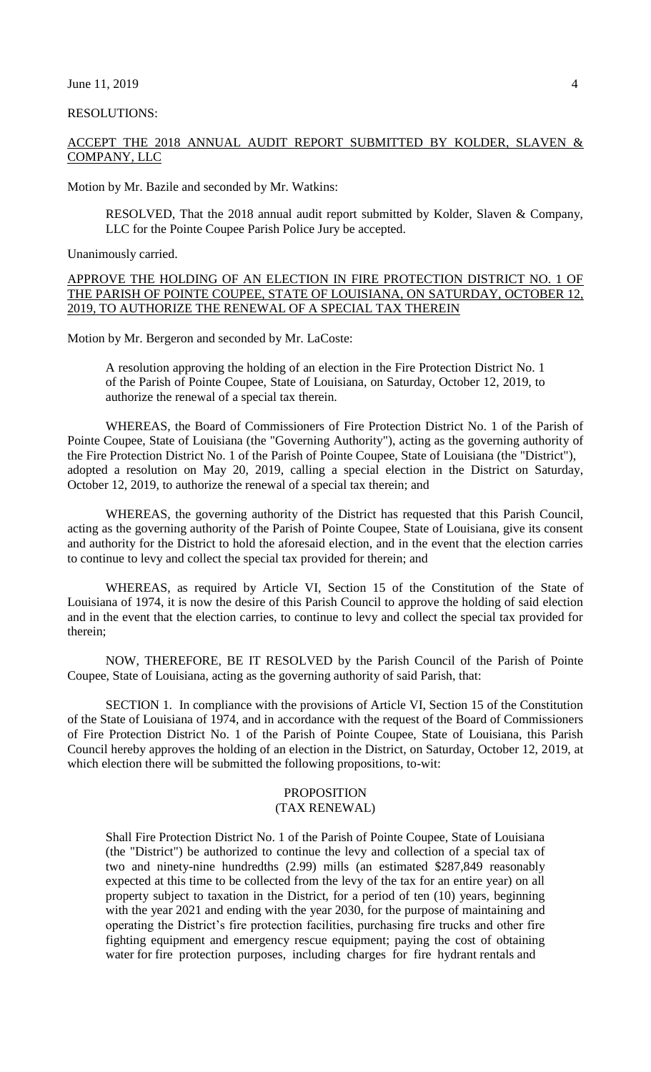#### June  $11, 2019$  4

#### RESOLUTIONS:

# ACCEPT THE 2018 ANNUAL AUDIT REPORT SUBMITTED BY KOLDER, SLAVEN & COMPANY, LLC

Motion by Mr. Bazile and seconded by Mr. Watkins:

RESOLVED, That the 2018 annual audit report submitted by Kolder, Slaven & Company, LLC for the Pointe Coupee Parish Police Jury be accepted.

Unanimously carried.

APPROVE THE HOLDING OF AN ELECTION IN FIRE PROTECTION DISTRICT NO. 1 OF THE PARISH OF POINTE COUPEE, STATE OF LOUISIANA, ON SATURDAY, OCTOBER 12, 2019, TO AUTHORIZE THE RENEWAL OF A SPECIAL TAX THEREIN

Motion by Mr. Bergeron and seconded by Mr. LaCoste:

A resolution approving the holding of an election in the Fire Protection District No. 1 of the Parish of Pointe Coupee, State of Louisiana, on Saturday, October 12, 2019, to authorize the renewal of a special tax therein.

WHEREAS, the Board of Commissioners of Fire Protection District No. 1 of the Parish of Pointe Coupee, State of Louisiana (the "Governing Authority"), acting as the governing authority of the Fire Protection District No. 1 of the Parish of Pointe Coupee, State of Louisiana (the "District"), adopted a resolution on May 20, 2019, calling a special election in the District on Saturday, October 12, 2019, to authorize the renewal of a special tax therein; and

WHEREAS, the governing authority of the District has requested that this Parish Council, acting as the governing authority of the Parish of Pointe Coupee, State of Louisiana, give its consent and authority for the District to hold the aforesaid election, and in the event that the election carries to continue to levy and collect the special tax provided for therein; and

WHEREAS, as required by Article VI, Section 15 of the Constitution of the State of Louisiana of 1974, it is now the desire of this Parish Council to approve the holding of said election and in the event that the election carries, to continue to levy and collect the special tax provided for therein;

NOW, THEREFORE, BE IT RESOLVED by the Parish Council of the Parish of Pointe Coupee, State of Louisiana, acting as the governing authority of said Parish, that:

SECTION 1. In compliance with the provisions of Article VI, Section 15 of the Constitution of the State of Louisiana of 1974, and in accordance with the request of the Board of Commissioners of Fire Protection District No. 1 of the Parish of Pointe Coupee, State of Louisiana, this Parish Council hereby approves the holding of an election in the District, on Saturday, October 12, 2019, at which election there will be submitted the following propositions, to-wit:

## PROPOSITION (TAX RENEWAL)

Shall Fire Protection District No. 1 of the Parish of Pointe Coupee, State of Louisiana (the "District") be authorized to continue the levy and collection of a special tax of two and ninety-nine hundredths (2.99) mills (an estimated \$287,849 reasonably expected at this time to be collected from the levy of the tax for an entire year) on all property subject to taxation in the District, for a period of ten (10) years, beginning with the year 2021 and ending with the year 2030, for the purpose of maintaining and operating the District's fire protection facilities, purchasing fire trucks and other fire fighting equipment and emergency rescue equipment; paying the cost of obtaining water for fire protection purposes, including charges for fire hydrant rentals and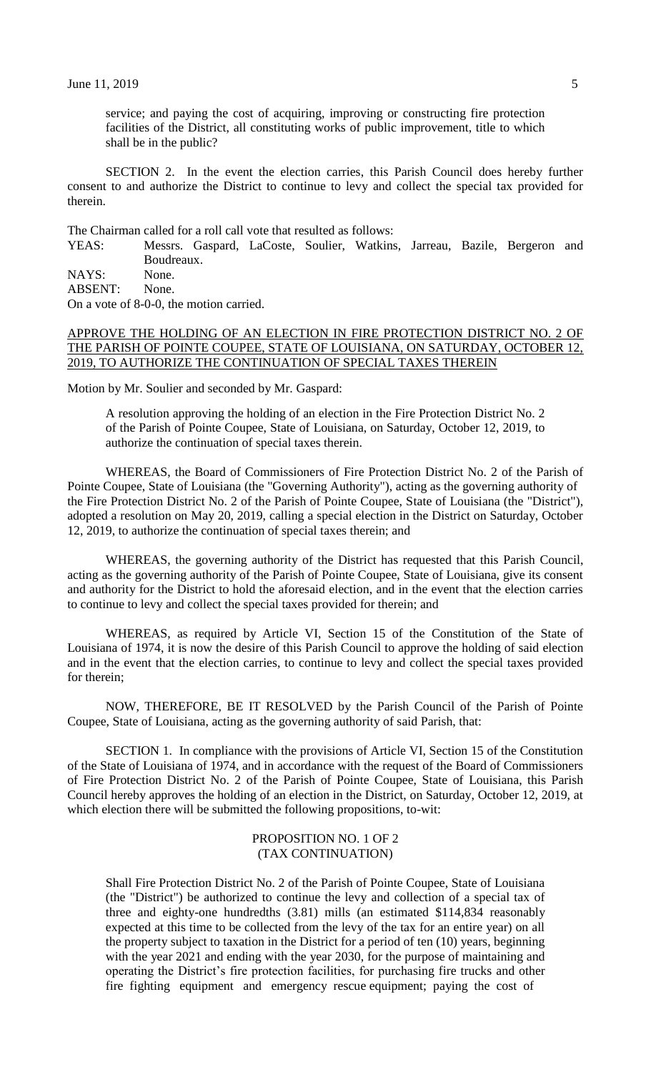service; and paying the cost of acquiring, improving or constructing fire protection facilities of the District, all constituting works of public improvement, title to which shall be in the public?

SECTION 2. In the event the election carries, this Parish Council does hereby further consent to and authorize the District to continue to levy and collect the special tax provided for therein.

The Chairman called for a roll call vote that resulted as follows:

YEAS: Messrs. Gaspard, LaCoste, Soulier, Watkins, Jarreau, Bazile, Bergeron and Boudreaux.

NAYS: None.

ABSENT: None.

On a vote of 8-0-0, the motion carried.

#### APPROVE THE HOLDING OF AN ELECTION IN FIRE PROTECTION DISTRICT NO. 2 OF THE PARISH OF POINTE COUPEE, STATE OF LOUISIANA, ON SATURDAY, OCTOBER 12, 2019, TO AUTHORIZE THE CONTINUATION OF SPECIAL TAXES THEREIN

Motion by Mr. Soulier and seconded by Mr. Gaspard:

A resolution approving the holding of an election in the Fire Protection District No. 2 of the Parish of Pointe Coupee, State of Louisiana, on Saturday, October 12, 2019, to authorize the continuation of special taxes therein.

WHEREAS, the Board of Commissioners of Fire Protection District No. 2 of the Parish of Pointe Coupee, State of Louisiana (the "Governing Authority"), acting as the governing authority of the Fire Protection District No. 2 of the Parish of Pointe Coupee, State of Louisiana (the "District"), adopted a resolution on May 20, 2019, calling a special election in the District on Saturday, October 12, 2019, to authorize the continuation of special taxes therein; and

WHEREAS, the governing authority of the District has requested that this Parish Council, acting as the governing authority of the Parish of Pointe Coupee, State of Louisiana, give its consent and authority for the District to hold the aforesaid election, and in the event that the election carries to continue to levy and collect the special taxes provided for therein; and

WHEREAS, as required by Article VI, Section 15 of the Constitution of the State of Louisiana of 1974, it is now the desire of this Parish Council to approve the holding of said election and in the event that the election carries, to continue to levy and collect the special taxes provided for therein;

NOW, THEREFORE, BE IT RESOLVED by the Parish Council of the Parish of Pointe Coupee, State of Louisiana, acting as the governing authority of said Parish, that:

SECTION 1. In compliance with the provisions of Article VI, Section 15 of the Constitution of the State of Louisiana of 1974, and in accordance with the request of the Board of Commissioners of Fire Protection District No. 2 of the Parish of Pointe Coupee, State of Louisiana, this Parish Council hereby approves the holding of an election in the District, on Saturday, October 12, 2019, at which election there will be submitted the following propositions, to-wit:

#### PROPOSITION NO. 1 OF 2 (TAX CONTINUATION)

Shall Fire Protection District No. 2 of the Parish of Pointe Coupee, State of Louisiana (the "District") be authorized to continue the levy and collection of a special tax of three and eighty-one hundredths (3.81) mills (an estimated \$114,834 reasonably expected at this time to be collected from the levy of the tax for an entire year) on all the property subject to taxation in the District for a period of ten (10) years, beginning with the year 2021 and ending with the year 2030, for the purpose of maintaining and operating the District's fire protection facilities, for purchasing fire trucks and other fire fighting equipment and emergency rescue equipment; paying the cost of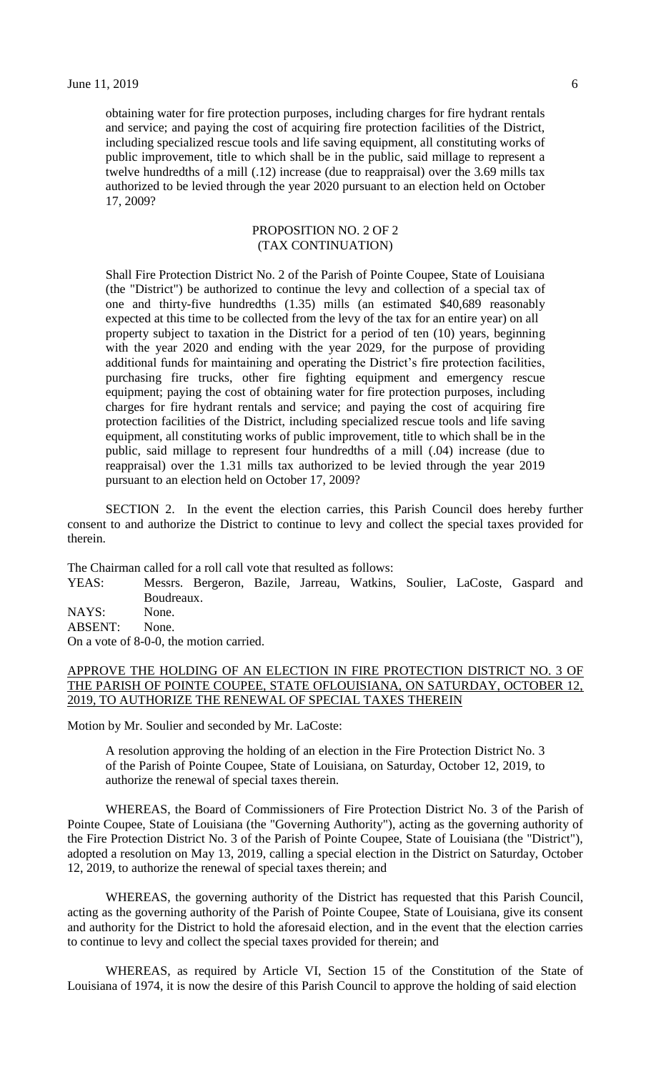obtaining water for fire protection purposes, including charges for fire hydrant rentals and service; and paying the cost of acquiring fire protection facilities of the District, including specialized rescue tools and life saving equipment, all constituting works of public improvement, title to which shall be in the public, said millage to represent a twelve hundredths of a mill (.12) increase (due to reappraisal) over the 3.69 mills tax authorized to be levied through the year 2020 pursuant to an election held on October 17, 2009?

## PROPOSITION NO. 2 OF 2 (TAX CONTINUATION)

Shall Fire Protection District No. 2 of the Parish of Pointe Coupee, State of Louisiana (the "District") be authorized to continue the levy and collection of a special tax of one and thirty-five hundredths (1.35) mills (an estimated \$40,689 reasonably expected at this time to be collected from the levy of the tax for an entire year) on all property subject to taxation in the District for a period of ten (10) years, beginning with the year 2020 and ending with the year 2029, for the purpose of providing additional funds for maintaining and operating the District's fire protection facilities, purchasing fire trucks, other fire fighting equipment and emergency rescue equipment; paying the cost of obtaining water for fire protection purposes, including charges for fire hydrant rentals and service; and paying the cost of acquiring fire protection facilities of the District, including specialized rescue tools and life saving equipment, all constituting works of public improvement, title to which shall be in the public, said millage to represent four hundredths of a mill (.04) increase (due to reappraisal) over the 1.31 mills tax authorized to be levied through the year 2019 pursuant to an election held on October 17, 2009?

SECTION 2. In the event the election carries, this Parish Council does hereby further consent to and authorize the District to continue to levy and collect the special taxes provided for therein.

The Chairman called for a roll call vote that resulted as follows:

YEAS: Messrs. Bergeron, Bazile, Jarreau, Watkins, Soulier, LaCoste, Gaspard and Boudreaux. NAYS: None. ABSENT: None.

On a vote of 8-0-0, the motion carried.

# APPROVE THE HOLDING OF AN ELECTION IN FIRE PROTECTION DISTRICT NO. 3 OF THE PARISH OF POINTE COUPEE, STATE OFLOUISIANA, ON SATURDAY, OCTOBER 12, 2019, TO AUTHORIZE THE RENEWAL OF SPECIAL TAXES THEREIN

Motion by Mr. Soulier and seconded by Mr. LaCoste:

A resolution approving the holding of an election in the Fire Protection District No. 3 of the Parish of Pointe Coupee, State of Louisiana, on Saturday, October 12, 2019, to authorize the renewal of special taxes therein.

WHEREAS, the Board of Commissioners of Fire Protection District No. 3 of the Parish of Pointe Coupee, State of Louisiana (the "Governing Authority"), acting as the governing authority of the Fire Protection District No. 3 of the Parish of Pointe Coupee, State of Louisiana (the "District"), adopted a resolution on May 13, 2019, calling a special election in the District on Saturday, October 12, 2019, to authorize the renewal of special taxes therein; and

WHEREAS, the governing authority of the District has requested that this Parish Council, acting as the governing authority of the Parish of Pointe Coupee, State of Louisiana, give its consent and authority for the District to hold the aforesaid election, and in the event that the election carries to continue to levy and collect the special taxes provided for therein; and

WHEREAS, as required by Article VI, Section 15 of the Constitution of the State of Louisiana of 1974, it is now the desire of this Parish Council to approve the holding of said election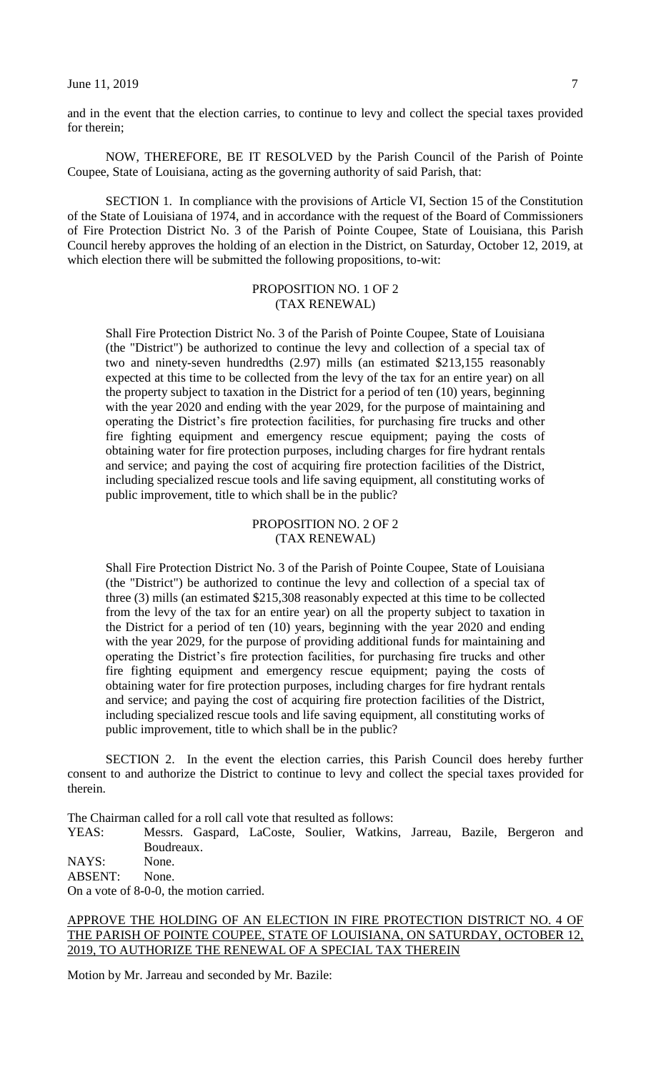#### June 11, 2019  $\frac{7}{2}$

and in the event that the election carries, to continue to levy and collect the special taxes provided for therein;

NOW, THEREFORE, BE IT RESOLVED by the Parish Council of the Parish of Pointe Coupee, State of Louisiana, acting as the governing authority of said Parish, that:

SECTION 1. In compliance with the provisions of Article VI, Section 15 of the Constitution of the State of Louisiana of 1974, and in accordance with the request of the Board of Commissioners of Fire Protection District No. 3 of the Parish of Pointe Coupee, State of Louisiana, this Parish Council hereby approves the holding of an election in the District, on Saturday, October 12, 2019, at which election there will be submitted the following propositions, to-wit:

#### PROPOSITION NO. 1 OF 2 (TAX RENEWAL)

Shall Fire Protection District No. 3 of the Parish of Pointe Coupee, State of Louisiana (the "District") be authorized to continue the levy and collection of a special tax of two and ninety-seven hundredths (2.97) mills (an estimated \$213,155 reasonably expected at this time to be collected from the levy of the tax for an entire year) on all the property subject to taxation in the District for a period of ten (10) years, beginning with the year 2020 and ending with the year 2029, for the purpose of maintaining and operating the District's fire protection facilities, for purchasing fire trucks and other fire fighting equipment and emergency rescue equipment; paying the costs of obtaining water for fire protection purposes, including charges for fire hydrant rentals and service; and paying the cost of acquiring fire protection facilities of the District, including specialized rescue tools and life saving equipment, all constituting works of public improvement, title to which shall be in the public?

# PROPOSITION NO. 2 OF 2 (TAX RENEWAL)

Shall Fire Protection District No. 3 of the Parish of Pointe Coupee, State of Louisiana (the "District") be authorized to continue the levy and collection of a special tax of three (3) mills (an estimated \$215,308 reasonably expected at this time to be collected from the levy of the tax for an entire year) on all the property subject to taxation in the District for a period of ten (10) years, beginning with the year 2020 and ending with the year 2029, for the purpose of providing additional funds for maintaining and operating the District's fire protection facilities, for purchasing fire trucks and other fire fighting equipment and emergency rescue equipment; paying the costs of obtaining water for fire protection purposes, including charges for fire hydrant rentals and service; and paying the cost of acquiring fire protection facilities of the District, including specialized rescue tools and life saving equipment, all constituting works of public improvement, title to which shall be in the public?

SECTION 2. In the event the election carries, this Parish Council does hereby further consent to and authorize the District to continue to levy and collect the special taxes provided for therein.

The Chairman called for a roll call vote that resulted as follows:

YEAS: Messrs. Gaspard, LaCoste, Soulier, Watkins, Jarreau, Bazile, Bergeron and Boudreaux.

NAYS: None.

ABSENT: None.

On a vote of 8-0-0, the motion carried.

# APPROVE THE HOLDING OF AN ELECTION IN FIRE PROTECTION DISTRICT NO. 4 OF THE PARISH OF POINTE COUPEE, STATE OF LOUISIANA, ON SATURDAY, OCTOBER 12, 2019, TO AUTHORIZE THE RENEWAL OF A SPECIAL TAX THEREIN

Motion by Mr. Jarreau and seconded by Mr. Bazile: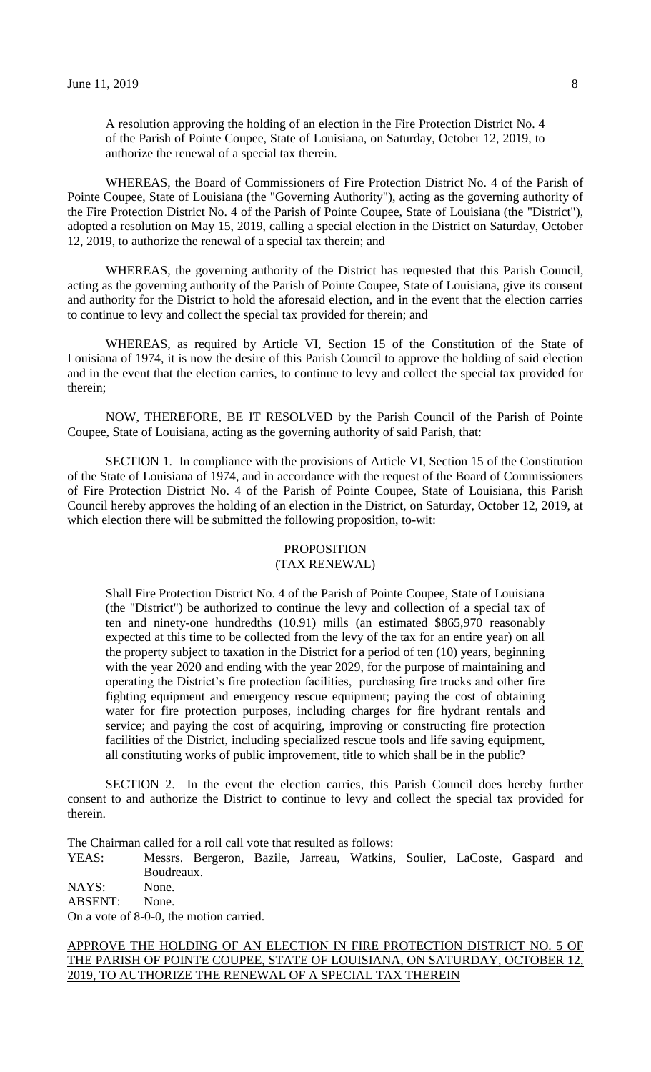A resolution approving the holding of an election in the Fire Protection District No. 4 of the Parish of Pointe Coupee, State of Louisiana, on Saturday, October 12, 2019, to authorize the renewal of a special tax therein.

WHEREAS, the Board of Commissioners of Fire Protection District No. 4 of the Parish of Pointe Coupee, State of Louisiana (the "Governing Authority"), acting as the governing authority of the Fire Protection District No. 4 of the Parish of Pointe Coupee, State of Louisiana (the "District"), adopted a resolution on May 15, 2019, calling a special election in the District on Saturday, October 12, 2019, to authorize the renewal of a special tax therein; and

WHEREAS, the governing authority of the District has requested that this Parish Council, acting as the governing authority of the Parish of Pointe Coupee, State of Louisiana, give its consent and authority for the District to hold the aforesaid election, and in the event that the election carries to continue to levy and collect the special tax provided for therein; and

WHEREAS, as required by Article VI, Section 15 of the Constitution of the State of Louisiana of 1974, it is now the desire of this Parish Council to approve the holding of said election and in the event that the election carries, to continue to levy and collect the special tax provided for therein;

NOW, THEREFORE, BE IT RESOLVED by the Parish Council of the Parish of Pointe Coupee, State of Louisiana, acting as the governing authority of said Parish, that:

SECTION 1. In compliance with the provisions of Article VI, Section 15 of the Constitution of the State of Louisiana of 1974, and in accordance with the request of the Board of Commissioners of Fire Protection District No. 4 of the Parish of Pointe Coupee, State of Louisiana, this Parish Council hereby approves the holding of an election in the District, on Saturday, October 12, 2019, at which election there will be submitted the following proposition, to-wit:

# PROPOSITION

# (TAX RENEWAL)

Shall Fire Protection District No. 4 of the Parish of Pointe Coupee, State of Louisiana (the "District") be authorized to continue the levy and collection of a special tax of ten and ninety-one hundredths (10.91) mills (an estimated \$865,970 reasonably expected at this time to be collected from the levy of the tax for an entire year) on all the property subject to taxation in the District for a period of ten (10) years, beginning with the year 2020 and ending with the year 2029, for the purpose of maintaining and operating the District's fire protection facilities, purchasing fire trucks and other fire fighting equipment and emergency rescue equipment; paying the cost of obtaining water for fire protection purposes, including charges for fire hydrant rentals and service; and paying the cost of acquiring, improving or constructing fire protection facilities of the District, including specialized rescue tools and life saving equipment, all constituting works of public improvement, title to which shall be in the public?

SECTION 2. In the event the election carries, this Parish Council does hereby further consent to and authorize the District to continue to levy and collect the special tax provided for therein.

The Chairman called for a roll call vote that resulted as follows:

YEAS: Messrs. Bergeron, Bazile, Jarreau, Watkins, Soulier, LaCoste, Gaspard and Boudreaux.

NAYS: None.

ABSENT: None.

On a vote of 8-0-0, the motion carried.

APPROVE THE HOLDING OF AN ELECTION IN FIRE PROTECTION DISTRICT NO. 5 OF THE PARISH OF POINTE COUPEE, STATE OF LOUISIANA, ON SATURDAY, OCTOBER 12, 2019, TO AUTHORIZE THE RENEWAL OF A SPECIAL TAX THEREIN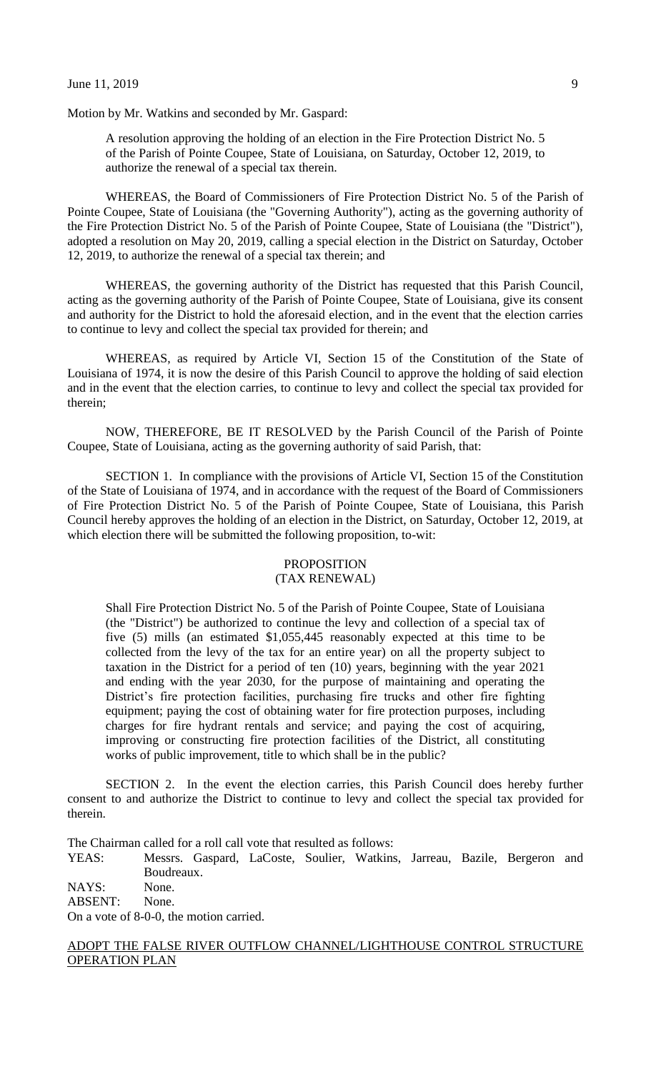Motion by Mr. Watkins and seconded by Mr. Gaspard:

A resolution approving the holding of an election in the Fire Protection District No. 5 of the Parish of Pointe Coupee, State of Louisiana, on Saturday, October 12, 2019, to authorize the renewal of a special tax therein.

WHEREAS, the Board of Commissioners of Fire Protection District No. 5 of the Parish of Pointe Coupee, State of Louisiana (the "Governing Authority"), acting as the governing authority of the Fire Protection District No. 5 of the Parish of Pointe Coupee, State of Louisiana (the "District"), adopted a resolution on May 20, 2019, calling a special election in the District on Saturday, October 12, 2019, to authorize the renewal of a special tax therein; and

WHEREAS, the governing authority of the District has requested that this Parish Council, acting as the governing authority of the Parish of Pointe Coupee, State of Louisiana, give its consent and authority for the District to hold the aforesaid election, and in the event that the election carries to continue to levy and collect the special tax provided for therein; and

WHEREAS, as required by Article VI, Section 15 of the Constitution of the State of Louisiana of 1974, it is now the desire of this Parish Council to approve the holding of said election and in the event that the election carries, to continue to levy and collect the special tax provided for therein;

NOW, THEREFORE, BE IT RESOLVED by the Parish Council of the Parish of Pointe Coupee, State of Louisiana, acting as the governing authority of said Parish, that:

SECTION 1. In compliance with the provisions of Article VI, Section 15 of the Constitution of the State of Louisiana of 1974, and in accordance with the request of the Board of Commissioners of Fire Protection District No. 5 of the Parish of Pointe Coupee, State of Louisiana, this Parish Council hereby approves the holding of an election in the District, on Saturday, October 12, 2019, at which election there will be submitted the following proposition, to-wit:

#### PROPOSITION (TAX RENEWAL)

Shall Fire Protection District No. 5 of the Parish of Pointe Coupee, State of Louisiana (the "District") be authorized to continue the levy and collection of a special tax of five (5) mills (an estimated \$1,055,445 reasonably expected at this time to be collected from the levy of the tax for an entire year) on all the property subject to taxation in the District for a period of ten (10) years, beginning with the year 2021 and ending with the year 2030, for the purpose of maintaining and operating the District's fire protection facilities, purchasing fire trucks and other fire fighting equipment; paying the cost of obtaining water for fire protection purposes, including charges for fire hydrant rentals and service; and paying the cost of acquiring, improving or constructing fire protection facilities of the District, all constituting works of public improvement, title to which shall be in the public?

SECTION 2. In the event the election carries, this Parish Council does hereby further consent to and authorize the District to continue to levy and collect the special tax provided for therein.

The Chairman called for a roll call vote that resulted as follows:

YEAS: Messrs. Gaspard, LaCoste, Soulier, Watkins, Jarreau, Bazile, Bergeron and Boudreaux.

NAYS: None. ABSENT: None.

On a vote of 8-0-0, the motion carried.

# ADOPT THE FALSE RIVER OUTFLOW CHANNEL/LIGHTHOUSE CONTROL STRUCTURE OPERATION PLAN